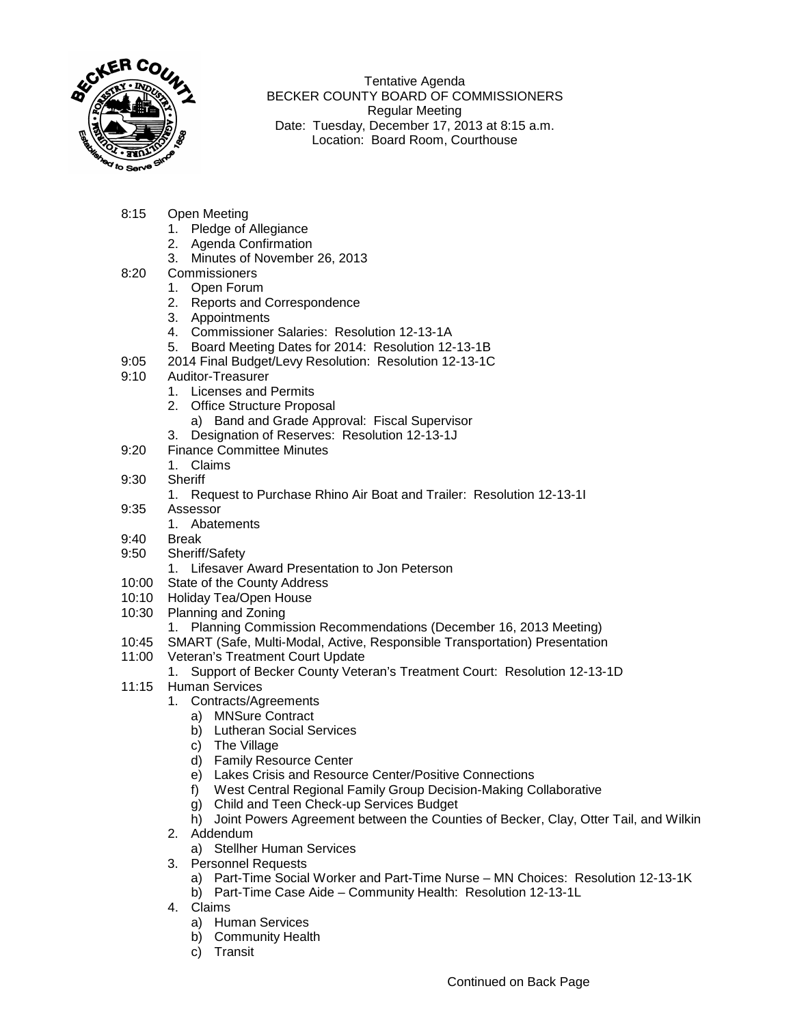

Tentative Agenda BECKER COUNTY BOARD OF COMMISSIONERS Regular Meeting Date: Tuesday, December 17, 2013 at 8:15 a.m. Location: Board Room, Courthouse

- 8:15 Open Meeting
	- 1. Pledge of Allegiance
	- 2. Agenda Confirmation
	- 3. Minutes of November 26, 2013
- 8:20 Commissioners
	- 1. Open Forum
	- 2. Reports and Correspondence
	- 3. Appointments
	- 4. Commissioner Salaries: Resolution 12-13-1A
	- 5. Board Meeting Dates for 2014: Resolution 12-13-1B
- 9:05 2014 Final Budget/Levy Resolution: Resolution 12-13-1C<br>9:10 Auditor-Treasurer
- Auditor-Treasurer
	- 1. Licenses and Permits
	- 2. Office Structure Proposal
		- a) Band and Grade Approval: Fiscal Supervisor
	- 3. Designation of Reserves: Resolution 12-13-1J
- 9:20 Finance Committee Minutes
- 1. Claims
- 9:30 Sheriff
	- 1. Request to Purchase Rhino Air Boat and Trailer: Resolution 12-13-1I
- 9:35 Assessor
	- 1. Abatements
- 9:40 Break
- 9:50 Sheriff/Safety
	- 1. Lifesaver Award Presentation to Jon Peterson
- 10:00 State of the County Address
- 10:10 Holiday Tea/Open House
- 10:30 Planning and Zoning
	- 1. Planning Commission Recommendations (December 16, 2013 Meeting)
- 10:45 SMART (Safe, Multi-Modal, Active, Responsible Transportation) Presentation
- 11:00 Veteran's Treatment Court Update
	- 1. Support of Becker County Veteran's Treatment Court: Resolution 12-13-1D
- 11:15 Human Services
	- 1. Contracts/Agreements
		- a) MNSure Contract
		- b) Lutheran Social Services
		- c) The Village
		- d) Family Resource Center
		- e) Lakes Crisis and Resource Center/Positive Connections
		- f) West Central Regional Family Group Decision-Making Collaborative
		- g) Child and Teen Check-up Services Budget
		- h) Joint Powers Agreement between the Counties of Becker, Clay, Otter Tail, and Wilkin

## 2. Addendum

- a) Stellher Human Services
- 3. Personnel Requests
	- a) Part-Time Social Worker and Part-Time Nurse MN Choices: Resolution 12-13-1K
	- b) Part-Time Case Aide Community Health: Resolution 12-13-1L
- 4. Claims
	- a) Human Services
	- b) Community Health
	- c) Transit